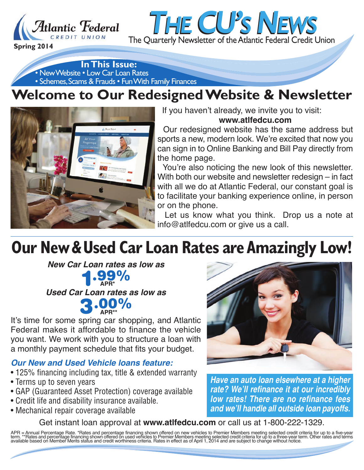

• New Website • Low Car Loan Rates • Schemes, Scams & Frauds • Fun With Family Finances **In This Issue:**

## **Welcome to Our Redesigned Website & Newsletter**



If you haven't already, we invite you to visit: **www.atlfedcu.com**

*THE CU'S NEWS*

Our redesigned website has the same address but sports a new, modern look. We're excited that now you can sign in to Online Banking and Bill Pay directly from the home page.

You're also noticing the new look of this newsletter. With both our website and newsletter redesign – in fact with all we do at Atlantic Federal, our constant goal is to facilitate your banking experience online, in person or on the phone.

Let us know what you think. Drop us a note at info@atlfedcu.com or give us a call.

# **Our New & Used Car Loan Rates are Amazingly Low!**

**New Car Loan rates as low as 1.99% Used Car Loan rates as low as APR\***

**3.00% APR\*\***

It's time for some spring car shopping, and Atlantic Federal makes it affordable to finance the vehicle you want. We work with you to structure a loan with a monthly payment schedule that fits your budget.

### **Our New and Used Vehicle loans feature:**

- 125% financing including tax, title & extended warranty
- Terms up to seven years
- GAP (Guaranteed Asset Protection) coverage available
- Credit life and disability insurance available.
- Mechanical repair coverage available



*Have an auto loan elsewhere at a higher rate? We'll refinance it at our incredibly low rates! There are no refinance fees and we'll handle all outside loan payoffs.*

### Get instant loan approval at **www.atlfedcu.com** or call us at 1-800-222-1329.

APR = Annual Percentage Rate. \*Rates and percentage financing shown offered on new vehicles to Premier Members meeting selected credit criteria for up to a five-year<br>term. \*\*Rates and percentage financing shown offered on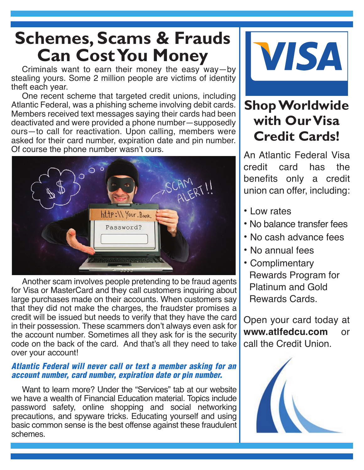## **Schemes, Scams & Frauds Can Cost You Money**

Criminals want to earn their money the easy way—by stealing yours. Some 2 million people are victims of identity theft each year.

One recent scheme that targeted credit unions, including Atlantic Federal, was a phishing scheme involving debit cards. Members received text messages saying their cards had been deactivated and were provided a phone number—supposedly ours—to call for reactivation. Upon calling, members were asked for their card number, expiration date and pin number. Of course the phone number wasn't ours.



Another scam involves people pretending to be fraud agents for Visa or MasterCard and they call customers inquiring about large purchases made on their accounts. When customers say that they did not make the charges, the fraudster promises a credit will be issued but needs to verify that they have the card in their possession. These scammers don't always even ask for the account number. Sometimes all they ask for is the security code on the back of the card. And that's all they need to take over your account!

#### *Atlantic Federal will never call or text a member asking for an account number, card number, expiration date or pin number.*

Want to learn more? Under the "Services" tab at our website we have a wealth of Financial Education material. Topics include password safety, online shopping and social networking precautions, and spyware tricks. Educating yourself and using basic common sense is the best offense against these fraudulent schemes.



### **Shop Worldwide with Our Visa Credit Cards!**

An Atlantic Federal Visa credit card has the benefits only a credit union can offer, including:

- Low rates
- No balance transfer fees
- No cash advance fees
- No annual fees
- Complimentary Rewards Program for Platinum and Gold Rewards Cards.

Open your card today at **www.atlfedcu.com** or call the Credit Union.

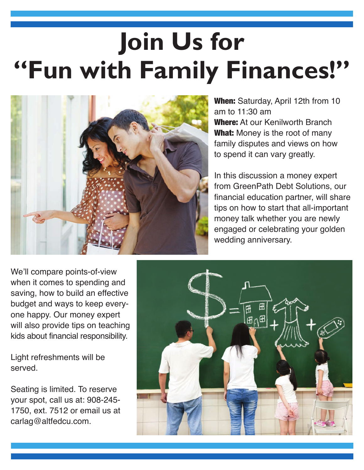# **Join Us for "Fun with Family Finances!"**



**When:** Saturday, April 12th from 10 am to 11:30 am **Where:** At our Kenilworth Branch **What:** Money is the root of many family disputes and views on how to spend it can vary greatly.

In this discussion a money expert from GreenPath Debt Solutions, our financial education partner, will share tips on how to start that all-important money talk whether you are newly engaged or celebrating your golden wedding anniversary.

We'll compare points-of-view when it comes to spending and saving, how to build an effective budget and ways to keep everyone happy. Our money expert will also provide tips on teaching kids about financial responsibility.

Light refreshments will be served.

Seating is limited. To reserve your spot, call us at: 908-245- 1750, ext. 7512 or email us at carlag@altfedcu.com.